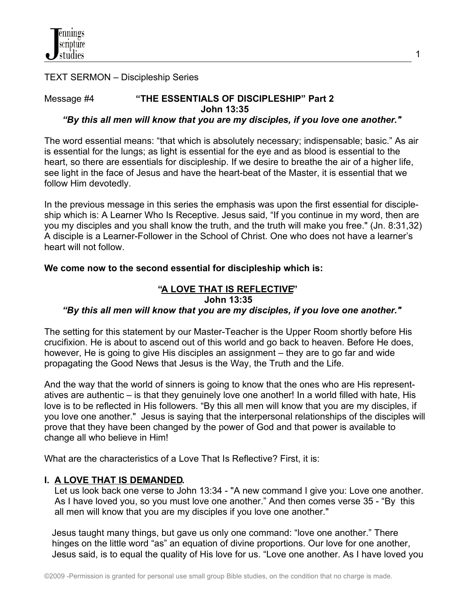

TEXT SERMON – Discipleship Series

# Message #4 **"THE ESSENTIALS OF DISCIPLESHIP" Part 2 John 13:35**

#### *"By this all men will know that you are my disciples, if you love one another."*

The word essential means: "that which is absolutely necessary; indispensable; basic." As air is essential for the lungs; as light is essential for the eye and as blood is essential to the heart, so there are essentials for discipleship. If we desire to breathe the air of a higher life, see light in the face of Jesus and have the heart-beat of the Master, it is essential that we follow Him devotedly.

In the previous message in this series the emphasis was upon the first essential for discipleship which is: A Learner Who Is Receptive. Jesus said, "If you continue in my word, then are you my disciples and you shall know the truth, and the truth will make you free." (Jn. 8:31,32) A disciple is a Learner-Follower in the School of Christ. One who does not have a learner's heart will not follow.

## **We come now to the second essential for discipleship which is:**

# **"A LOVE THAT IS REFLECTIVE" John 13:35**   *"By this all men will know that you are my disciples, if you love one another."*

The setting for this statement by our Master-Teacher is the Upper Room shortly before His crucifixion. He is about to ascend out of this world and go back to heaven. Before He does, however, He is going to give His disciples an assignment – they are to go far and wide propagating the Good News that Jesus is the Way, the Truth and the Life.

And the way that the world of sinners is going to know that the ones who are His representatives are authentic – is that they genuinely love one another! In a world filled with hate, His love is to be reflected in His followers. "By this all men will know that you are my disciples, if you love one another." Jesus is saying that the interpersonal relationships of the disciples will prove that they have been changed by the power of God and that power is available to change all who believe in Him!

What are the characteristics of a Love That Is Reflective? First, it is:

## **I. A LOVE THAT IS DEMANDED.**

Let us look back one verse to John 13:34 - "A new command I give you: Love one another. As I have loved you, so you must love one another." And then comes verse 35 - "By this all men will know that you are my disciples if you love one another."

 Jesus taught many things, but gave us only one command: "love one another." There hinges on the little word "as" an equation of divine proportions. Our love for one another, Jesus said, is to equal the quality of His love for us. "Love one another. As I have loved you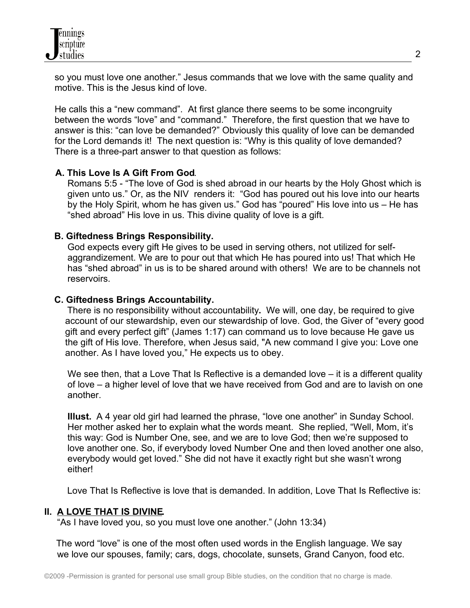so you must love one another." Jesus commands that we love with the same quality and motive. This is the Jesus kind of love.

 He calls this a "new command". At first glance there seems to be some incongruity between the words "love" and "command." Therefore, the first question that we have to answer is this: "can love be demanded?" Obviously this quality of love can be demanded for the Lord demands it! The next question is: "Why is this quality of love demanded? There is a three-part answer to that question as follows:

# **A. This Love Is A Gift From God**.

 Romans 5:5 - "The love of God is shed abroad in our hearts by the Holy Ghost which is given unto us." Or, as the NIV renders it: "God has poured out his love into our hearts by the Holy Spirit, whom he has given us." God has "poured" His love into us – He has "shed abroad" His love in us. This divine quality of love is a gift.

## **B. Giftedness Brings Responsibility.**

 God expects every gift He gives to be used in serving others, not utilized for self aggrandizement. We are to pour out that which He has poured into us! That which He has "shed abroad" in us is to be shared around with others! We are to be channels not reservoirs.

## **C. Giftedness Brings Accountability.**

There is no responsibility without accountability**.** We will, one day, be required to give account of our stewardship, even our stewardship of love. God, the Giver of "every good gift and every perfect gift" (James 1:17) can command us to love because He gave us the gift of His love. Therefore, when Jesus said, "A new command I give you: Love one another. As I have loved you," He expects us to obey.

We see then, that a Love That Is Reflective is a demanded love – it is a different quality of love – a higher level of love that we have received from God and are to lavish on one another.

 **IIlust.** A 4 year old girl had learned the phrase, "love one another" in Sunday School. Her mother asked her to explain what the words meant. She replied, "Well, Mom, it's this way: God is Number One, see, and we are to love God; then we're supposed to love another one. So, if everybody loved Number One and then loved another one also, everybody would get loved." She did not have it exactly right but she wasn't wrong either!

Love That Is Reflective is love that is demanded. In addition, Love That Is Reflective is:

## **II. A LOVE THAT IS DIVINE.**

"As I have loved you, so you must love one another." (John 13:34)

The word "love" is one of the most often used words in the English language. We say we love our spouses, family; cars, dogs, chocolate, sunsets, Grand Canyon, food etc.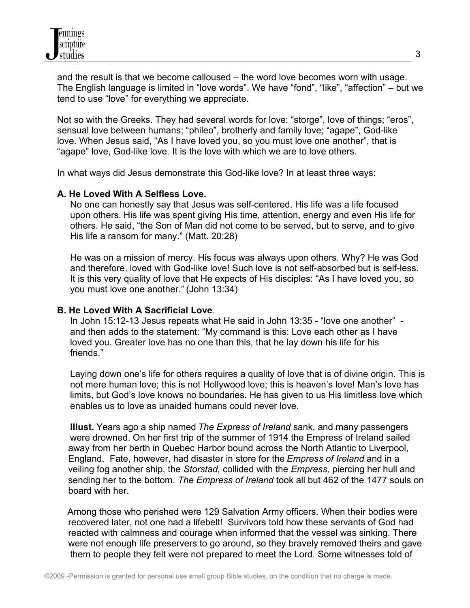and the result is that we become calloused – the word love becomes worn with usage. The English language is limited in "love words". We have "fond", "like", "affection" – but we tend to use "love" for everything we appreciate.

Not so with the Greeks. They had several words for love: "storge", love of things; "eros", sensual love between humans; "phileo", brotherly and family love; "agape", God-like love. When Jesus said, "As I have loved you, so you must love one another", that is "agape" love, God-like love. It is the love with which we are to love others.

In what ways did Jesus demonstrate this God-like love? In at least three ways:

## **A. He Loved With A Selfless Love.**

 No one can honestly say that Jesus was self-centered. His life was a life focused upon others. His life was spent giving His time, attention, energy and even His life for others. He said, "the Son of Man did not come to be served, but to serve, and to give His life a ransom for many." (Matt. 20:28)

 He was on a mission of mercy. His focus was always upon others. Why? He was God and therefore, loved with God-like love! Such love is not self-absorbed but is self-less. It is this very quality of love that He expects of His disciples: "As I have loved you, so you must love one another." (John 13:34)

## **B. He Loved With A Sacrificial Love**.

 In John 15:12-13 Jesus repeats what He said in John 13:35 - "love one another" and then adds to the statement: "My command is this: Love each other as I have loved you. Greater love has no one than this, that he lay down his life for his friends."

 Laying down one's life for others requires a quality of love that is of divine origin. This is not mere human love; this is not Hollywood love; this is heaven's love! Man's love has limits, but God's love knows no boundaries. He has given to us His limitless love which enables us to love as unaided humans could never love.

 **Illust.** Years ago a ship named *The Express of Ireland* sank, and many passengers were drowned. On her first trip of the summer of 1914 the Empress of Ireland sailed away from her berth in Quebec Harbor bound across the North Atlantic to Liverpool, England. Fate, however, had disaster in store for the *Empress of Ireland* and in a veiling fog another ship, the *Storstad,* collided with the *Empress,* piercing her hull and sending her to the bottom. *The Empress of Ireland* took all but 462 of the 1477 souls on board with her.

 Among those who perished were 129 Salvation Army officers. When their bodies were recovered later, not one had a lifebelt! Survivors told how these servants of God had reacted with calmness and courage when informed that the vessel was sinking. There were not enough life preservers to go around, so they bravely removed theirs and gave them to people they felt were not prepared to meet the Lord. Some witnesses told of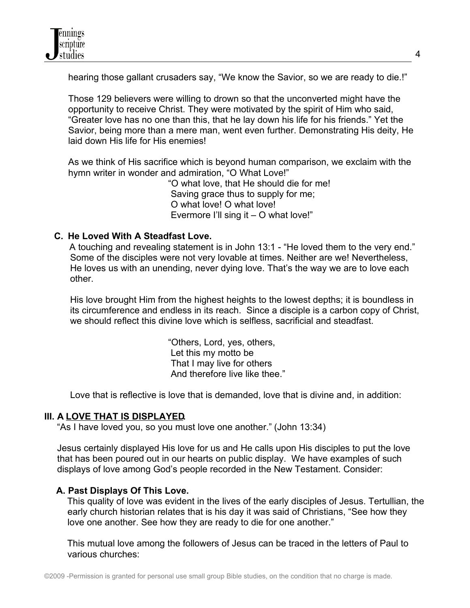hearing those gallant crusaders say, "We know the Savior, so we are ready to die.!"

Those 129 believers were willing to drown so that the unconverted might have the opportunity to receive Christ. They were motivated by the spirit of Him who said, "Greater love has no one than this, that he lay down his life for his friends." Yet the Savior, being more than a mere man, went even further. Demonstrating His deity, He laid down His life for His enemies!

As we think of His sacrifice which is beyond human comparison, we exclaim with the hymn writer in wonder and admiration, "O What Love!"

> "O what love, that He should die for me! Saving grace thus to supply for me; O what love! O what love! Evermore I'll sing it – O what love!"

# **C. He Loved With A Steadfast Love.**

A touching and revealing statement is in John 13:1 - "He loved them to the very end." Some of the disciples were not very lovable at times. Neither are we! Nevertheless, He loves us with an unending, never dying love. That's the way we are to love each other.

 His love brought Him from the highest heights to the lowest depths; it is boundless in its circumference and endless in its reach. Since a disciple is a carbon copy of Christ, we should reflect this divine love which is selfless, sacrificial and steadfast.

> "Others, Lord, yes, others, Let this my motto be That I may live for others And therefore live like thee."

Love that is reflective is love that is demanded, love that is divine and, in addition:

## **III. A LOVE THAT IS DISPLAYED.**

"As I have loved you, so you must love one another." (John 13:34)

 Jesus certainly displayed His love for us and He calls upon His disciples to put the love that has been poured out in our hearts on public display. We have examples of such displays of love among God's people recorded in the New Testament. Consider:

## **A. Past Displays Of This Love.**

This quality of love was evident in the lives of the early disciples of Jesus. Tertullian, the early church historian relates that is his day it was said of Christians, "See how they love one another. See how they are ready to die for one another."

 This mutual love among the followers of Jesus can be traced in the letters of Paul to various churches: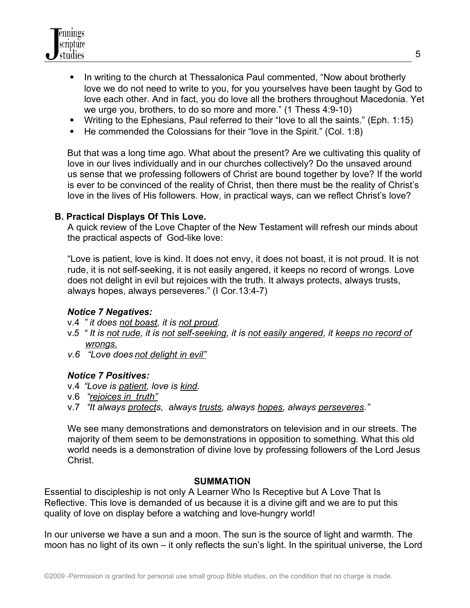

- In writing to the church at Thessalonica Paul commented, "Now about brotherly love we do not need to write to you, for you yourselves have been taught by God to love each other. And in fact, you do love all the brothers throughout Macedonia. Yet we urge you, brothers, to do so more and more." (1 Thess 4:9-10)
- Writing to the Ephesians, Paul referred to their "love to all the saints." (Eph. 1:15)
- He commended the Colossians for their "love in the Spirit." (Col. 1:8)

But that was a long time ago. What about the present? Are we cultivating this quality of love in our lives individually and in our churches collectively? Do the unsaved around us sense that we professing followers of Christ are bound together by love? If the world is ever to be convinced of the reality of Christ, then there must be the reality of Christ's love in the lives of His followers. How, in practical ways, can we reflect Christ's love?

#### **B. Practical Displays Of This Love.**

 A quick review of the Love Chapter of the New Testament will refresh our minds about the practical aspects of God-like love:

 "Love is patient, love is kind. It does not envy, it does not boast, it is not proud. It is not rude, it is not self-seeking, it is not easily angered, it keeps no record of wrongs. Love does not delight in evil but rejoices with the truth. It always protects, always trusts, always hopes, always perseveres." (I Cor.13:4-7)

## *Notice 7 Negatives:*

- v.4 *" it does not boast, it is not proud.*
- v.*5 " It is not rude, it is not self-seeking, it is not easily angered, it keeps no record of wrongs.*
- *v.6 "Love does not delight in evil"*

## *Notice 7 Positives:*

- v.4 *"Love is patient, love is kind.*
- v.6 "*rejoices in truth"*
- v.7 "*It always protects, always trusts, always hopes, always perseveres."*

 We see many demonstrations and demonstrators on television and in our streets. The majority of them seem to be demonstrations in opposition to something. What this old world needs is a demonstration of divine love by professing followers of the Lord Jesus Christ.

#### **SUMMATION**

Essential to discipleship is not only A Learner Who Is Receptive but A Love That Is Reflective. This love is demanded of us because it is a divine gift and we are to put this quality of love on display before a watching and love-hungry world!

In our universe we have a sun and a moon. The sun is the source of light and warmth. The moon has no light of its own – it only reflects the sun's light. In the spiritual universe, the Lord